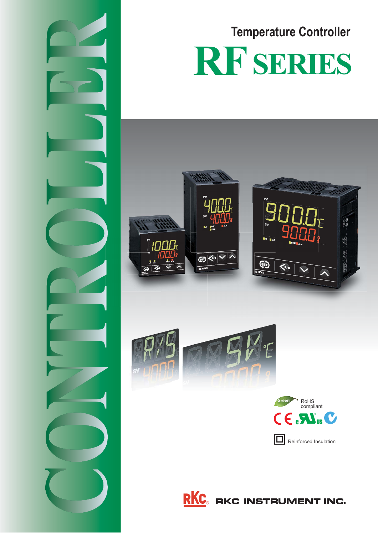







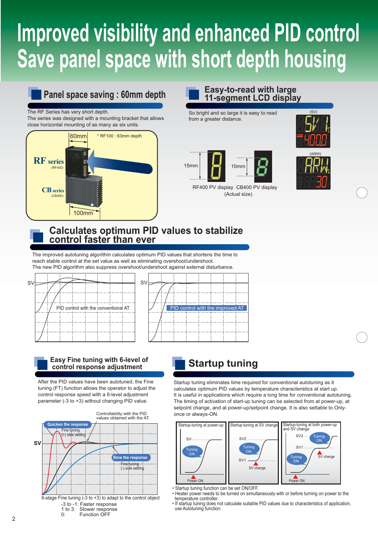# **Improved visibility and enhanced PID control Save panel space with short depth housing**

### **Panel space saving : 60mm depth**

#### The RF Series has very short depth.

The series was designed with a mounting bracket that allows close horizontal mounting of as many as six units.



### **Easy-to-read with large 11-segment LCD display**

So bright and so large it is easy to read from a greater distance.





(SV)

RF400 PV display CB400 PV display (Actual size)



### **Calculates optimum PID values to stabilize control faster than ever**

The improved autotuning algorithm calculates optimum PID values that shortens the time to reach stable control at the set value as well as eliminating overshoot/undershoot.

The new PID algorithm also suppress overshoot/undershoot against external disturbance.





### **Easy Fine tuning with 6-level of control response adjustment**

After the PID values have been autotuned, the Fine tuning (FT) function allows the operator to adjust the control response speed with a 6-level adjustment parameter (-3 to +3) without changing PID value.



### **Startup tuning**

Startup tuning eliminates time required for conventional autotuning as it calculates optimum PID values by temperature characteristics at start up. It is useful in applications which require a long time for conventional autotuning. The timing of activation of start-up tuning can be selected from at power-up, at setpoint change, and at power-up/setpoint change. It is also settable to Onlyonce or always-ON.



• Startup tuning function can be set ON/OFF.

• Heater power needs to be turned on simultaneously with or before turning on power to the temperature controller.

• If startup tuning does not calculate suitable PID values due to characteristics of application, use Autotuning function.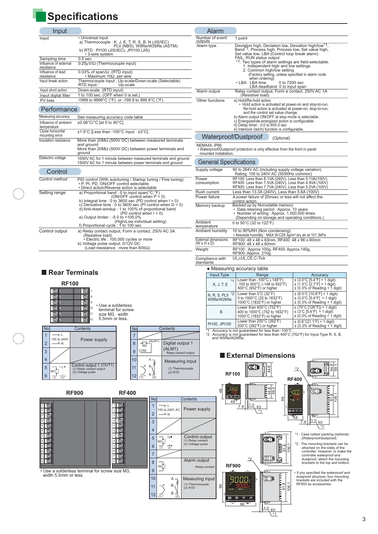## **Specifications**

| Input                               |                                                                                    | Alarm                                    |
|-------------------------------------|------------------------------------------------------------------------------------|------------------------------------------|
| Input                               | • Universal input                                                                  | Number of eve                            |
|                                     | a) Thermocouple : K, J, E, T, R, S, B, N (JIS/IEC)                                 | outputs<br>Alarm type                    |
|                                     | PLII (NBS), W5Re/W26Re (ASTM)<br>b) RTD: Pt100 (JIS/IEC), JPt100 (JIS)             |                                          |
|                                     | • 3-wire system                                                                    |                                          |
| Sampling time                       | $0.5$ sec.                                                                         |                                          |
| Influence of external<br>resistance | $0.25\mu\sqrt{\Omega}$ (Thermocouple input)                                        |                                          |
| Influence of lead<br>resistance     | $0.03\%$ of span/ $\Omega$ (RTD input)<br>• Maximum 10 $\Omega$ per wire           |                                          |
| Input break action                  | Thermocouple input: Up-scale/Down-scale (Selectable)<br>RTD input :<br>Up-scale    |                                          |
| Input short action                  | Down-scale (RTD input)                                                             | Alarm output                             |
| Input digital filter                | 1 to 100 sec. (OFF when 0 is set.)                                                 |                                          |
| PV bias                             | -1999 to 9999°C (°F) or -199.9 to 999.9°C (°F)                                     | Other functions                          |
| Performance                         |                                                                                    |                                          |
| Measuring accuracy                  | See measuring accuracy code table                                                  |                                          |
| Influence of ambient<br>temperature | ±0.06°C/°C [at 5 to 40°C]                                                          |                                          |
| Close horizontal<br>mounting error  | ±1.5°C [Less than -100°C input : ±3°C]                                             | Waterpr                                  |
| Insulation resistance               | More than $20M\Omega$ (500V DC) between measured terminals                         |                                          |
|                                     | and ground                                                                         | NEMA4X, IP66                             |
|                                     | More than 20M $\Omega$ (500V DC) between power terminals and<br>ground             | • Waterproof/Du<br>mounted instal        |
| Dielectric voltage                  | 1000V AC for 1 minute between measured terminals and ground                        |                                          |
|                                     | 1500V AC for 1 minute between power terminals and ground                           | <b>General S</b>                         |
| Control                             |                                                                                    | Supply voltage                           |
| Control method                      | PID control (With autotuning / Startup tuning / Fine tuning)                       | Power                                    |
|                                     | · P. PI, PD, ON/OFF control selectable                                             | consumption                              |
|                                     | • Direct action/Reverse action is selectable                                       | Rush current                             |
| Setting range                       | a) Proportional band: 0 to input span(°C,°F)<br>(ON/OFF control when $P = 0$ )     | Power failure                            |
|                                     | b) Integral time : 0 to 3600 sec (PD control when $I = 0$ )                        |                                          |
|                                     | c) Derivative time : 0 to 3600 sec (PI control when $D = 0$ )                      | Memory backup                            |
|                                     | d) Anti-reset-windup: 1 to 100% of proportional band<br>(PD control when $I = 0$ ) |                                          |
|                                     | e) Output limiter : -5.0 to +105.0%                                                |                                          |
|                                     | (High/Low individual setting)                                                      | Ambient                                  |
|                                     | f) Proportional cycle: 1 to 100 sec                                                | temperature                              |
| Control output                      | a) Relay contact output, Form a contact, 250V AC 3A<br>(Resistive load)            | Ambient humidi                           |
|                                     | · Electric life : 100,000 cycles or more                                           | External dimensic                        |
|                                     | b) Voltage pulse output, 0/12V DC<br>(Load resistance : more than 600 $\Omega$ )   | $(W \times H \times D)$<br><b>Mainht</b> |
|                                     |                                                                                    |                                          |

| Alarm                                 |                                                                                                                                                                                                                                                                                                                                                                                                                                                                                             |
|---------------------------------------|---------------------------------------------------------------------------------------------------------------------------------------------------------------------------------------------------------------------------------------------------------------------------------------------------------------------------------------------------------------------------------------------------------------------------------------------------------------------------------------------|
| Number of event<br>outputs            | 1 point                                                                                                                                                                                                                                                                                                                                                                                                                                                                                     |
| Alarm type                            | Deviation high, Deviation low, Deviation high/low <sup>*1</sup> ,<br>Band <sup>"1</sup> , Process high, Process low, Set value high,<br>Set value low, LBA (Control loop break alarm)<br>FAIL, RUN status output<br>*1. Two types of alarm settings are field-selectable.<br>1. Independent high and low settings.<br>2. Common high/low setting<br>(Factory setting, unless specified in alarm code<br>when ordering)<br>• LBA : LBA time<br>0 to 7200 sec<br>LBA deadband 0 to input span |
| Alarm output                          | Relay contact output, Form a contact, 250V AC 1A<br>(Resistive load)                                                                                                                                                                                                                                                                                                                                                                                                                        |
| Other functions                       | a) Hold/Re-hold action<br>• Hold action is activated at power-on and stop-to-run.<br>Re-hold action is activated at power-on, stop-to-run,<br>and the control set value change.<br>b) Alarm output ON/OFF at stop mode is selectable.<br>c) Energized/de-energized action is configurable.<br>$d)$ Delay timer: 0.0 to 600.0 sec<br>e) Interlock (latch) function is configurable.                                                                                                          |
|                                       | Waterproof/Dustproof<br>(Optional)                                                                                                                                                                                                                                                                                                                                                                                                                                                          |
| NEMA4X. IP66<br>mounted installation. | . Waterproof/Dustproof protection is only effective from the front in panel                                                                                                                                                                                                                                                                                                                                                                                                                 |
| <b>General Specifications</b>         |                                                                                                                                                                                                                                                                                                                                                                                                                                                                                             |
| Supply voltage                        | 90 to 264V AC (Including supply voltage variation)<br>Rating: 100 to 240V AC (50/60Hz common)                                                                                                                                                                                                                                                                                                                                                                                               |
| Power<br>consumption                  | RF100: Less than 8.1VA (240V), Less than 5.1VA(100V)<br>RF400: Less than 7.5VA (240V), Less than 4.9VA (100V)<br>RF900: Less than 7.7VA (240V), Less than 5.2VA (100V)                                                                                                                                                                                                                                                                                                                      |
| Rush current                          | Less than 13.3A (240V), Less than 5.6A (100V)                                                                                                                                                                                                                                                                                                                                                                                                                                               |
| Power failure                         | A power failure of 20msec or less will not affect the<br>control action.                                                                                                                                                                                                                                                                                                                                                                                                                    |
| Memory backup                         | Backed up by Nonvolatile memory<br>• Data retaining period : Approx. 10 years<br>• Number of writing: Approx. 1,000,000 times.<br>(Depending on storage and operating conditions.)                                                                                                                                                                                                                                                                                                          |
| Ambient                               | 0 to 50°C (32 to 122°F)                                                                                                                                                                                                                                                                                                                                                                                                                                                                     |
| temperature<br>Ambient humidity       | 10 to 90%RH (Non condensing)                                                                                                                                                                                                                                                                                                                                                                                                                                                                |
| <b>External dimensions</b>            | • Absolute humidity: MAX.W.C29.3g/m <sup>3</sup> dry air at 101.3kPa<br>RF100: 48 x 48 x 63mm, RF400: 48 x 96 x 60mm                                                                                                                                                                                                                                                                                                                                                                        |
| $(W \times H \times D)$               | RF900: 48 x 48 x 60mm                                                                                                                                                                                                                                                                                                                                                                                                                                                                       |

RF100 : Approx.100g, RF400: Approx.145g,

RF900: Approx. 210g UL,cUL,CE,C-Tick

• Measuring accuracy table

 $96 - 8$ 

 $1.0_{ 60}$ 

ŦŦ  $\overline{\phantom{a}}$ 

 $\frac{1}{1}$ 

#### **Rear Terminals**



**Weight** 

Compliance with standards

3

106.1

59.1